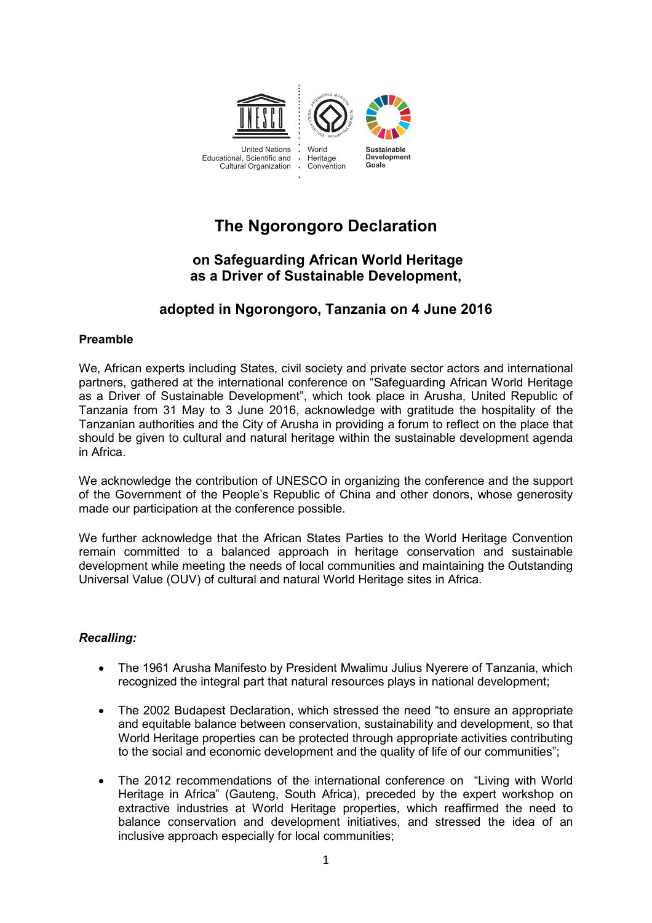

# **The Ngorongoro Declaration**

#### **on Safeguarding African World Heritage as a Driver of Sustainable Development, sur le patrimoine mondial africain comme moteur du développement Déclaration de Ngorongoro durable**

## **adopted in Ngorongoro, Tanzania on 4 June 2016 adoptée à Ngorongoro, Tanzanie**

## **Preamble**

We, African experts including States, civil society and private sector actors and international partners, gathered at the international conference on "Safeguarding African World Heritage as a Driver of Sustainable Development", which took place in Arusha, United Republic of Tanzania from 31 May to 3 June 2016, acknowledge with gratitude the hospitality of the Tanzanian authorities and the City of Arusha in providing a forum to reflect on the place that should be given to cultural and natural heritage within the sustainable development agenda in Africa.

We acknowledge the contribution of UNESCO in organizing the conference and the support of the Government of the People's Republic of China and other donors, whose generosity made our participation at the conference possible. We acknowledge the contribution of UNESCO in organizing the conference and the support

*i*<br>We further acknowledge that the African States Parties to the World Heritage Convention The function committed to a balanced approach in heritage conservation and sustainable Fording Committee to the Dukenbod depproach in noting control called the Customaans<br>development while meeting the needs of local communities and maintaining the Outstanding Universal Value (OUV) of cultural and natural World Heritage sites in Africa.

## recalling: tout en répondant durable, tout en répondant aux besoins de la communauté du de la communauté durable, et aux besoins de la communauté du de la communauté du de la communauté du de la communauté du de la communa

- The 1961 Arusha Manifesto by President Mwalimu Julius Nyerere of Tanzania, which recognized the integral part that natural resources plays in national development;
- The 2002 Budapest Declaration, which stressed the need "to ensure an appropriate and equitable balance between conservation, sustainability and development, so that World Heritage properties can be protected through appropriate activities contributing to the social and economic development and the quality of life of our communities"; **Rappelant :**
	- The 2012 recommendations of the international conference on "Living with World Heritage in Africa" (Gauteng, South Africa), preceded by the expert workshop on extractive industries at World Heritage properties, which reaffirmed the need to balance conservation and development initiatives, and stressed the idea of an inclusive approach especially for local communities;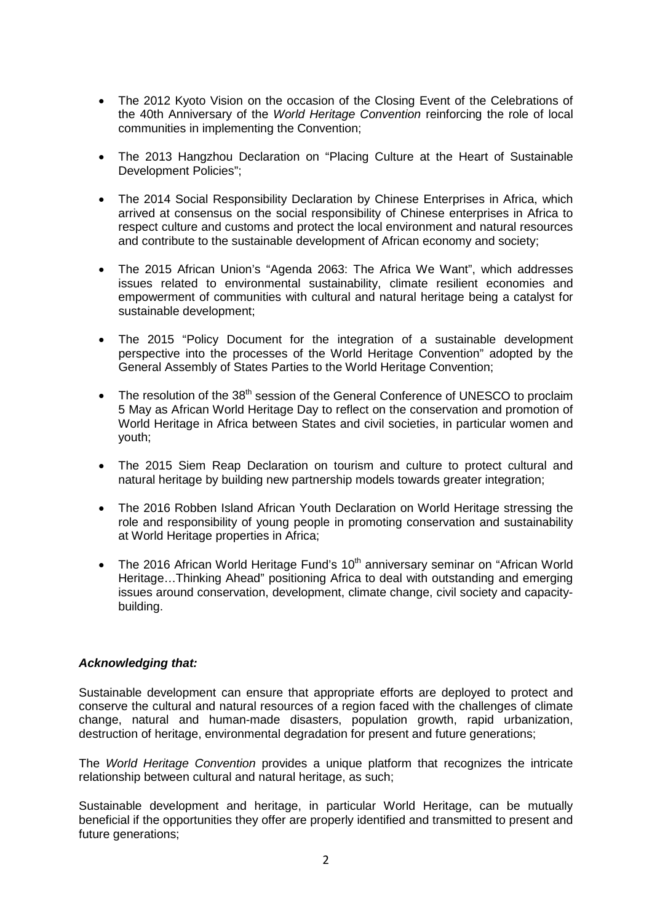- The 2012 Kyoto Vision on the occasion of the Closing Event of the Celebrations of the 40th Anniversary of the *World Heritage Convention* reinforcing the role of local communities in implementing the Convention;
- The 2013 Hangzhou Declaration on "Placing Culture at the Heart of Sustainable Development Policies";
- The 2014 Social Responsibility Declaration by Chinese Enterprises in Africa, which arrived at consensus on the social responsibility of Chinese enterprises in Africa to respect culture and customs and protect the local environment and natural resources and contribute to the sustainable development of African economy and society;
- The 2015 African Union's "Agenda 2063: The Africa We Want", which addresses issues related to environmental sustainability, climate resilient economies and empowerment of communities with cultural and natural heritage being a catalyst for sustainable development;
- The 2015 "Policy Document for the integration of a sustainable development perspective into the processes of the World Heritage Convention" adopted by the General Assembly of States Parties to the World Heritage Convention;
- The resolution of the 38<sup>th</sup> session of the General Conference of UNESCO to proclaim 5 May as African World Heritage Day to reflect on the conservation and promotion of World Heritage in Africa between States and civil societies, in particular women and youth;
- The 2015 Siem Reap Declaration on tourism and culture to protect cultural and natural heritage by building new partnership models towards greater integration;
- The 2016 Robben Island African Youth Declaration on World Heritage stressing the role and responsibility of young people in promoting conservation and sustainability at World Heritage properties in Africa;
- The 2016 African World Heritage Fund's  $10<sup>th</sup>$  anniversary seminar on "African World" Heritage…Thinking Ahead" positioning Africa to deal with outstanding and emerging issues around conservation, development, climate change, civil society and capacitybuilding.

## *Acknowledging that:*

Sustainable development can ensure that appropriate efforts are deployed to protect and conserve the cultural and natural resources of a region faced with the challenges of climate change, natural and human-made disasters, population growth, rapid urbanization, destruction of heritage, environmental degradation for present and future generations;

The *World Heritage Convention* provides a unique platform that recognizes the intricate relationship between cultural and natural heritage, as such;

Sustainable development and heritage, in particular World Heritage, can be mutually beneficial if the opportunities they offer are properly identified and transmitted to present and future generations;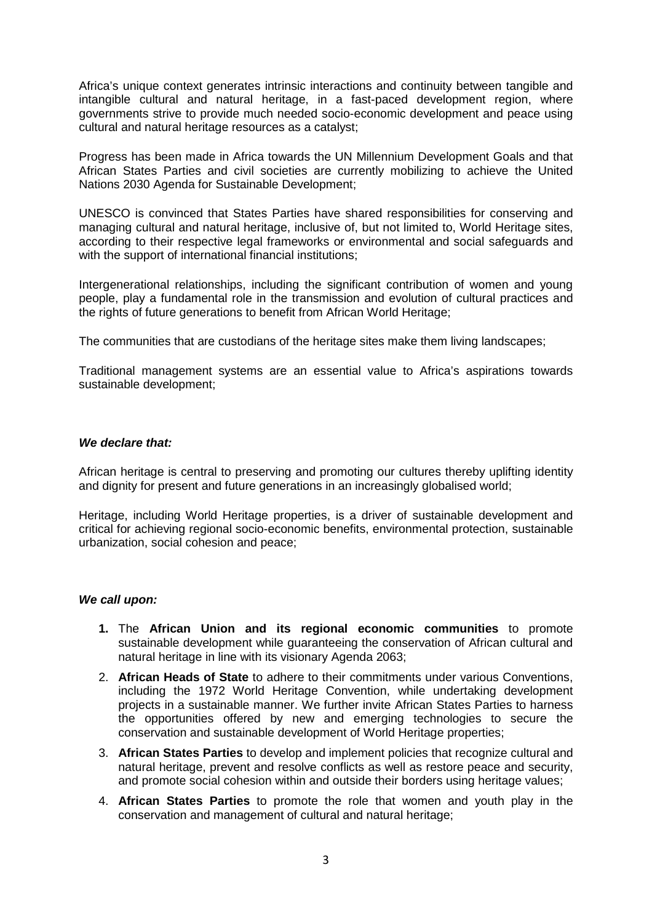Africa's unique context generates intrinsic interactions and continuity between tangible and intangible cultural and natural heritage, in a fast-paced development region, where governments strive to provide much needed socio-economic development and peace using cultural and natural heritage resources as a catalyst;

Progress has been made in Africa towards the UN Millennium Development Goals and that African States Parties and civil societies are currently mobilizing to achieve the United Nations 2030 Agenda for Sustainable Development;

UNESCO is convinced that States Parties have shared responsibilities for conserving and managing cultural and natural heritage, inclusive of, but not limited to, World Heritage sites, according to their respective legal frameworks or environmental and social safeguards and with the support of international financial institutions;

Intergenerational relationships, including the significant contribution of women and young people, play a fundamental role in the transmission and evolution of cultural practices and the rights of future generations to benefit from African World Heritage;

The communities that are custodians of the heritage sites make them living landscapes;

Traditional management systems are an essential value to Africa's aspirations towards sustainable development;

## *We declare that:*

African heritage is central to preserving and promoting our cultures thereby uplifting identity and dignity for present and future generations in an increasingly globalised world;

Heritage, including World Heritage properties, is a driver of sustainable development and critical for achieving regional socio-economic benefits, environmental protection, sustainable urbanization, social cohesion and peace;

### *We call upon:*

- **1.** The **African Union and its regional economic communities** to promote sustainable development while guaranteeing the conservation of African cultural and natural heritage in line with its visionary Agenda 2063;
- 2. **African Heads of State** to adhere to their commitments under various Conventions, including the 1972 World Heritage Convention, while undertaking development projects in a sustainable manner. We further invite African States Parties to harness the opportunities offered by new and emerging technologies to secure the conservation and sustainable development of World Heritage properties;
- 3. **African States Parties** to develop and implement policies that recognize cultural and natural heritage, prevent and resolve conflicts as well as restore peace and security, and promote social cohesion within and outside their borders using heritage values;
- 4. **African States Parties** to promote the role that women and youth play in the conservation and management of cultural and natural heritage;